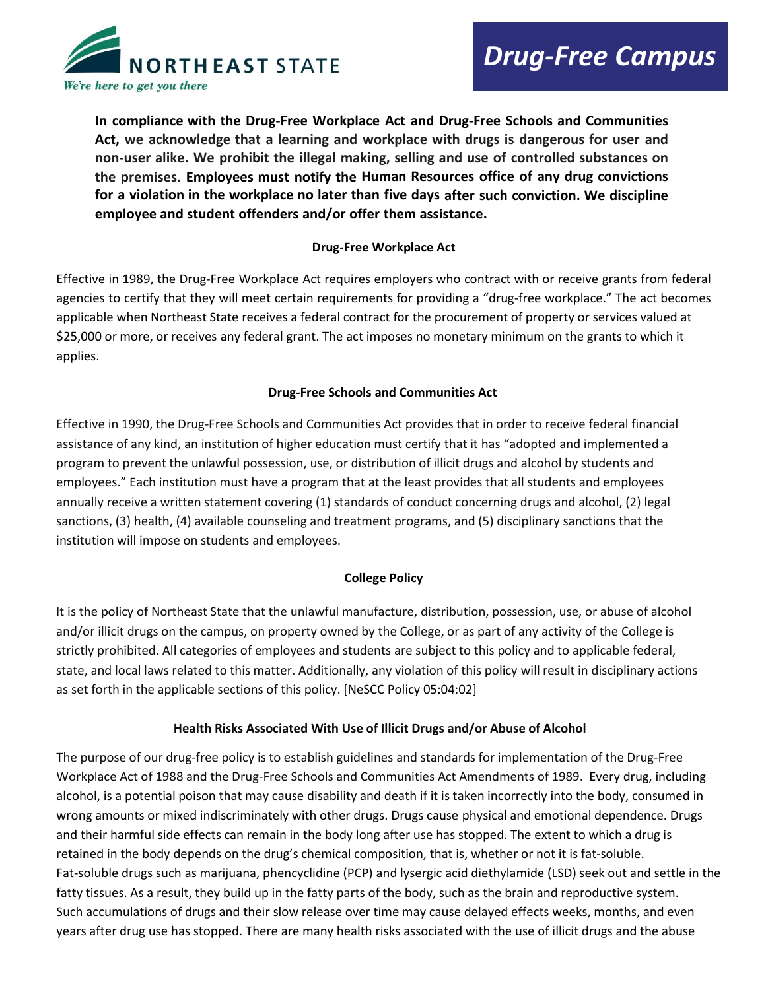

**In compliance with the Drug-Free Workplace Act and Drug-Free Schools and Communities Act, we acknowledge that a learning and workplace with drugs is dangerous for user and non-user alike. We prohibit the illegal making, selling and use of controlled substances on the premises. Employees must notify the Human Resources office of any drug convictions for a violation in the workplace no later than five days after such conviction. We discipline employee and student offenders and/or offer them assistance.**

### **Drug-Free Workplace Act**

Effective in 1989, the Drug-Free Workplace Act requires employers who contract with or receive grants from federal agencies to certify that they will meet certain requirements for providing a "drug-free workplace." The act becomes applicable when Northeast State receives a federal contract for the procurement of property or services valued at \$25,000 or more, or receives any federal grant. The act imposes no monetary minimum on the grants to which it applies.

### **Drug-Free Schools and Communities Act**

Effective in 1990, the Drug-Free Schools and Communities Act provides that in order to receive federal financial assistance of any kind, an institution of higher education must certify that it has "adopted and implemented a program to prevent the unlawful possession, use, or distribution of illicit drugs and alcohol by students and employees." Each institution must have a program that at the least provides that all students and employees annually receive a written statement covering (1) standards of conduct concerning drugs and alcohol, (2) legal sanctions, (3) health, (4) available counseling and treatment programs, and (5) disciplinary sanctions that the institution will impose on students and employees.

# **College Policy**

It is the policy of Northeast State that the unlawful manufacture, distribution, possession, use, or abuse of alcohol and/or illicit drugs on the campus, on property owned by the College, or as part of any activity of the College is strictly prohibited. All categories of employees and students are subject to this policy and to applicable federal, state, and local laws related to this matter. Additionally, any violation of this policy will result in disciplinary actions as set forth in the applicable sections of this policy. [NeSCC Policy [05:04:02\]](http://cwis.northeaststate.edu/oie/policymanual/pol.asp?p=101)

# **Health Risks Associated With Use of Illicit Drugs and/or Abuse of Alcohol**

The purpose of our drug-free policy is to establish guidelines and standards for implementation of the Drug-Free Workplace Act of 1988 and the Drug-Free Schools and Communities Act Amendments of 1989. Every drug, including alcohol, is a potential poison that may cause disability and death if it is taken incorrectly into the body, consumed in wrong amounts or mixed indiscriminately with other drugs. Drugs cause physical and emotional dependence. Drugs and their harmful side effects can remain in the body long after use has stopped. The extent to which a drug is retained in the body depends on the drug's chemical composition, that is, whether or not it is fat-soluble. Fat-soluble drugs such as marijuana, phencyclidine (PCP) and lysergic acid diethylamide (LSD) seek out and settle in the fatty tissues. As a result, they build up in the fatty parts of the body, such as the brain and reproductive system. Such accumulations of drugs and their slow release over time may cause delayed effects weeks, months, and even years after drug use has stopped. There are many health risks associated with the use of illicit drugs and the abuse